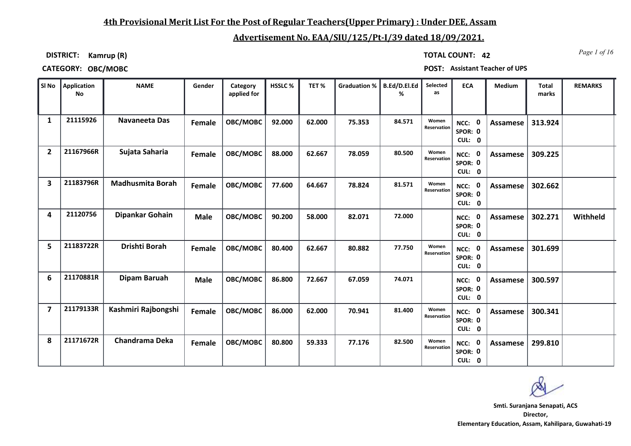### **4th Provisional Merit List For the Post of Regular Teachers(Upper Primary) : Under DEE, Assam**

## **Advertisement No. EAA/SIU/125/Pt-I/39 dated 18/09/2021.**

**DISTRICT: Kamrup (R)**

*Page 1 of 16* **TOTAL COUNT: 42**

**CATEGORY: OBC/MOBC POST: Assistant Teacher of UPS**

|                | SI No Application<br>No | <b>NAME</b>             | Gender      | Category<br>applied for | HSSLC % | TET%   | <b>Graduation %</b> | B.Ed/D.El.Ed<br>% | Selected<br>as       | <b>ECA</b>                     | Medium          | <b>Total</b><br>marks | <b>REMARKS</b> |
|----------------|-------------------------|-------------------------|-------------|-------------------------|---------|--------|---------------------|-------------------|----------------------|--------------------------------|-----------------|-----------------------|----------------|
| 1              | 21115926                | Navaneeta Das           | Female      | OBC/MOBC                | 92.000  | 62.000 | 75.353              | 84.571            | Women<br>Reservation | NCC: 0<br>SPOR: 0<br>CUL: 0    | <b>Assamese</b> | 313.924               |                |
| $\overline{2}$ | 21167966R               | Sujata Saharia          | Female      | OBC/MOBC                | 88.000  | 62.667 | 78.059              | 80.500            | Women<br>Reservation | NCC: 0<br>SPOR: 0<br>CUL: 0    | Assamese        | 309.225               |                |
| 3              | 21183796R               | <b>Madhusmita Borah</b> | Female      | OBC/MOBC                | 77.600  | 64.667 | 78.824              | 81.571            | Women<br>Reservation | 0<br>NCC:<br>SPOR: 0<br>CUL: 0 | Assamese        | 302.662               |                |
| 4              | 21120756                | Dipankar Gohain         | <b>Male</b> | OBC/MOBC                | 90.200  | 58.000 | 82.071              | 72.000            |                      | NCC: 0<br>SPOR: 0<br>CUL: 0    | <b>Assamese</b> | 302.271               | Withheld       |
| 5              | 21183722R               | Drishti Borah           | Female      | OBC/MOBC                | 80.400  | 62.667 | 80.882              | 77.750            | Women<br>Reservation | NCC: 0<br>SPOR: 0<br>CUL: 0    | <b>Assamese</b> | 301.699               |                |
| 6              | 21170881R               | Dipam Baruah            | <b>Male</b> | OBC/MOBC                | 86.800  | 72.667 | 67.059              | 74.071            |                      | 0<br>NCC:<br>SPOR: 0<br>CUL: 0 | Assamese        | 300.597               |                |
| $\overline{7}$ | 21179133R               | Kashmiri Rajbongshi     | Female      | OBC/MOBC                | 86.000  | 62.000 | 70.941              | 81.400            | Women<br>Reservation | NCC: 0<br>SPOR: 0<br>CUL: 0    | <b>Assamese</b> | 300.341               |                |
| 8              | 21171672R               | <b>Chandrama Deka</b>   | Female      | OBC/MOBC                | 80.800  | 59.333 | 77.176              | 82.500            | Women<br>Reservation | NCC: 0<br>SPOR: 0<br>CUL: 0    | <b>Assamese</b> | 299.810               |                |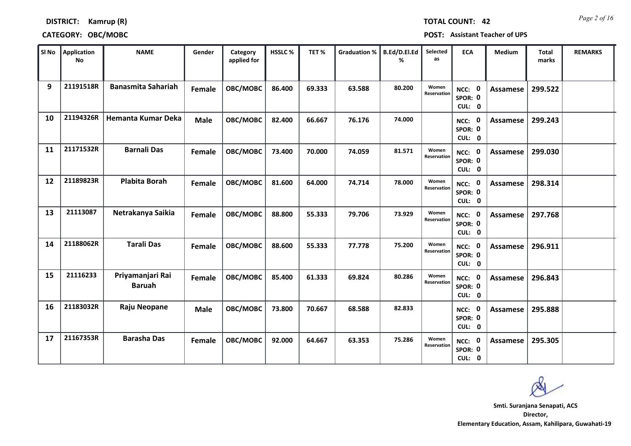## *Page 2 of 16* **TOTAL COUNT: 42**

### **DISTRICT: Kamrup (R)**

### **CATEGORY: OBC/MOBC POST: Assistant Teacher of UPS**

| SI No | Application<br>No | <b>NAME</b>                       | Gender      | Category<br>applied for | <b>HSSLC%</b> | TET%   | <b>Graduation %</b> | B.Ed/D.El.Ed<br>% | Selected<br>as       | <b>ECA</b>                  | <b>Medium</b>   | <b>Total</b><br>marks | <b>REMARKS</b> |
|-------|-------------------|-----------------------------------|-------------|-------------------------|---------------|--------|---------------------|-------------------|----------------------|-----------------------------|-----------------|-----------------------|----------------|
| 9     | 21191518R         | <b>Banasmita Sahariah</b>         | Female      | OBC/MOBC                | 86.400        | 69.333 | 63.588              | 80.200            | Women<br>Reservation | NCC: 0<br>SPOR: 0<br>CUL: 0 | Assamese        | 299.522               |                |
| 10    | 21194326R         | <b>Hemanta Kumar Deka</b>         | <b>Male</b> | OBC/MOBC                | 82.400        | 66.667 | 76.176              | 74.000            |                      | NCC: 0<br>SPOR: 0<br>CUL: 0 | Assamese        | 299.243               |                |
| 11    | 21171532R         | <b>Barnali Das</b>                | Female      | OBC/MOBC                | 73.400        | 70.000 | 74.059              | 81.571            | Women<br>Reservation | NCC: 0<br>SPOR: 0<br>CUL: 0 | <b>Assamese</b> | 299.030               |                |
| 12    | 21189823R         | <b>Plabita Borah</b>              | Female      | OBC/MOBC                | 81.600        | 64.000 | 74.714              | 78.000            | Women<br>Reservation | NCC: 0<br>SPOR: 0<br>CUL: 0 | Assamese        | 298.314               |                |
| 13    | 21113087          | Netrakanya Saikia                 | Female      | OBC/MOBC                | 88.800        | 55.333 | 79.706              | 73.929            | Women<br>Reservation | NCC: 0<br>SPOR: 0<br>CUL: 0 | Assamese        | 297.768               |                |
| 14    | 21188062R         | <b>Tarali Das</b>                 | Female      | OBC/MOBC                | 88.600        | 55.333 | 77.778              | 75.200            | Women<br>Reservation | NCC: 0<br>SPOR: 0<br>CUL: 0 | Assamese        | 296.911               |                |
| 15    | 21116233          | Priyamanjari Rai<br><b>Baruah</b> | Female      | OBC/MOBC                | 85.400        | 61.333 | 69.824              | 80.286            | Women<br>Reservation | NCC: 0<br>SPOR: 0<br>CUL: 0 | <b>Assamese</b> | 296.843               |                |
| 16    | 21183032R         | Raju Neopane                      | <b>Male</b> | OBC/MOBC                | 73.800        | 70.667 | 68.588              | 82.833            |                      | NCC: 0<br>SPOR: 0<br>CUL: 0 | <b>Assamese</b> | 295.888               |                |
| 17    | 21167353R         | <b>Barasha Das</b>                | Female      | OBC/MOBC                | 92.000        | 64.667 | 63.353              | 75.286            | Women<br>Reservation | NCC: 0<br>SPOR: 0<br>CUL: 0 | Assamese        | 295.305               |                |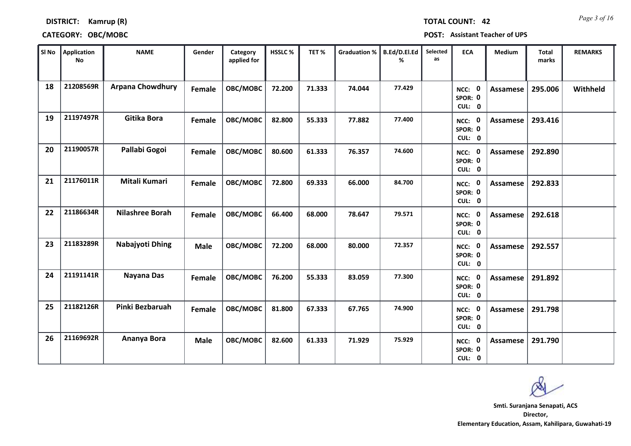## *Page 3 of 16* **TOTAL COUNT: 42**

### **DISTRICT: Kamrup (R)**

### **CATEGORY: OBC/MOBC POST: Assistant Teacher of UPS**

| SI No | Application<br>No | <b>NAME</b>             | Gender        | Category<br>applied for | HSSLC% | TET%   | <b>Graduation %</b> | B.Ed/D.El.Ed<br>% | Selected<br>as | <b>ECA</b>                         | <b>Medium</b>   | <b>Total</b><br>marks | <b>REMARKS</b> |
|-------|-------------------|-------------------------|---------------|-------------------------|--------|--------|---------------------|-------------------|----------------|------------------------------------|-----------------|-----------------------|----------------|
| 18    | 21208569R         | <b>Arpana Chowdhury</b> | Female        | OBC/MOBC                | 72.200 | 71.333 | 74.044              | 77.429            |                | NCC: 0<br>SPOR: 0<br>CUL: 0        | <b>Assamese</b> | 295.006               | Withheld       |
| 19    | 21197497R         | Gitika Bora             | Female        | OBC/MOBC                | 82.800 | 55.333 | 77.882              | 77,400            |                | NCC: 0<br>SPOR: 0<br>CUL: 0        | Assamese        | 293.416               |                |
| 20    | 21190057R         | Pallabi Gogoi           | <b>Female</b> | OBC/MOBC                | 80.600 | 61.333 | 76.357              | 74.600            |                | NCC: 0<br>SPOR: 0<br>CUL: 0        | <b>Assamese</b> | 292.890               |                |
| 21    | 21176011R         | Mitali Kumari           | Female        | OBC/MOBC                | 72.800 | 69.333 | 66.000              | 84.700            |                | 0<br>NCC:<br>SPOR: 0<br>CUL: 0     | Assamese        | 292.833               |                |
| 22    | 21186634R         | <b>Nilashree Borah</b>  | Female        | OBC/MOBC                | 66.400 | 68.000 | 78.647              | 79.571            |                | NCC: 0<br>SPOR: 0<br>CUL: 0        | Assamese        | 292.618               |                |
| 23    | 21183289R         | Nabajyoti Dhing         | <b>Male</b>   | OBC/MOBC                | 72.200 | 68.000 | 80.000              | 72.357            |                | NCC: 0<br>SPOR: 0<br>CUL: 0        | Assamese        | 292.557               |                |
| 24    | 21191141R         | Nayana Das              | Female        | OBC/MOBC                | 76.200 | 55.333 | 83.059              | 77.300            |                | NCC: 0<br>SPOR: 0<br>CUL: 0        | Assamese        | 291.892               |                |
| 25    | 21182126R         | Pinki Bezbaruah         | <b>Female</b> | OBC/MOBC                | 81.800 | 67.333 | 67.765              | 74.900            |                | NCC: 0<br>SPOR: 0<br>CUL: 0        | <b>Assamese</b> | 291.798               |                |
| 26    | 21169692R         | Ananya Bora             | <b>Male</b>   | OBC/MOBC                | 82.600 | 61.333 | 71.929              | 75.929            |                | <b>NCC: 0</b><br>SPOR: 0<br>CUL: 0 | Assamese        | 291.790               |                |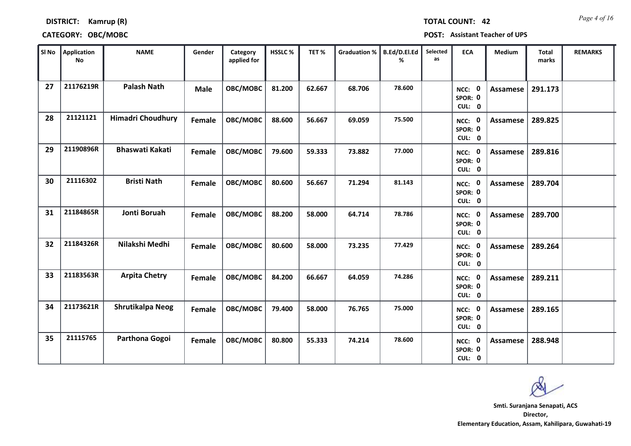### **DISTRICT: Kamrup (R)**

### **CATEGORY: OBC/MOBC POST: Assistant Teacher of UPS**

| SI No | Application<br><b>No</b> | <b>NAME</b>              | Gender      | Category<br>applied for | HSSLC% | TET%   | <b>Graduation %</b> | B.Ed/D.El.Ed<br>% | Selected<br>as | <b>ECA</b>                               | <b>Medium</b>   | <b>Total</b><br>marks | <b>REMARKS</b> |
|-------|--------------------------|--------------------------|-------------|-------------------------|--------|--------|---------------------|-------------------|----------------|------------------------------------------|-----------------|-----------------------|----------------|
| 27    | 21176219R                | <b>Palash Nath</b>       | <b>Male</b> | OBC/MOBC                | 81.200 | 62.667 | 68.706              | 78.600            |                | NCC: 0<br>SPOR: 0<br>CUL: 0              | <b>Assamese</b> | 291.173               |                |
| 28    | 21121121                 | <b>Himadri Choudhury</b> | Female      | OBC/MOBC                | 88.600 | 56.667 | 69.059              | 75.500            |                | NCC: 0<br>SPOR: 0<br>CUL: 0              | Assamese        | 289.825               |                |
| 29    | 21190896R                | <b>Bhaswati Kakati</b>   | Female      | OBC/MOBC                | 79.600 | 59.333 | 73.882              | 77.000            |                | NCC: 0<br>SPOR: 0<br>CUL: 0              | Assamese        | 289.816               |                |
| 30    | 21116302                 | <b>Bristi Nath</b>       | Female      | OBC/MOBC                | 80.600 | 56.667 | 71.294              | 81.143            |                | $\mathbf 0$<br>NCC:<br>SPOR: 0<br>CUL: 0 | <b>Assamese</b> | 289.704               |                |
| 31    | 21184865R                | <b>Jonti Boruah</b>      | Female      | OBC/MOBC                | 88.200 | 58.000 | 64.714              | 78.786            |                | NCC: 0<br>SPOR: 0<br>CUL: 0              | <b>Assamese</b> | 289.700               |                |
| 32    | 21184326R                | Nilakshi Medhi           | Female      | OBC/MOBC                | 80.600 | 58.000 | 73.235              | 77.429            |                | NCC: 0<br>SPOR: 0<br>CUL: 0              | Assamese        | 289.264               |                |
| 33    | 21183563R                | <b>Arpita Chetry</b>     | Female      | OBC/MOBC                | 84.200 | 66.667 | 64.059              | 74.286            |                | NCC: 0<br>SPOR: 0<br>CUL: 0              | <b>Assamese</b> | 289.211               |                |
| 34    | 21173621R                | Shrutikalpa Neog         | Female      | OBC/MOBC                | 79.400 | 58.000 | 76.765              | 75.000            |                | <b>NCC: 0</b><br>SPOR: 0<br>CUL: 0       | Assamese        | 289.165               |                |
| 35    | 21115765                 | Parthona Gogoi           | Female      | OBC/MOBC                | 80.800 | 55.333 | 74.214              | 78.600            |                | <b>NCC: 0</b><br>SPOR: 0<br>CUL: 0       | Assamese        | 288.948               |                |

*Page 4 of 16* **TOTAL COUNT: 42**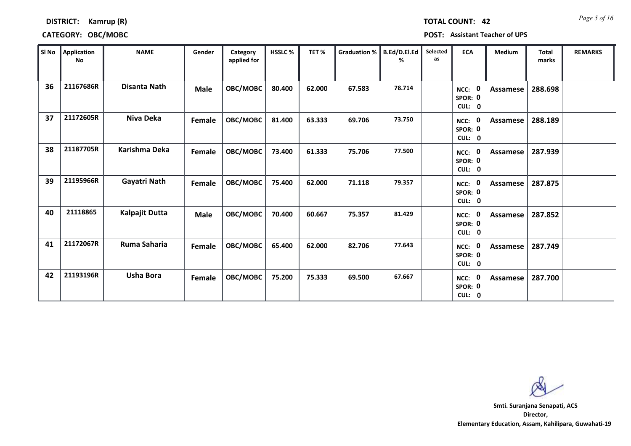# *Page 5 of 16* **TOTAL COUNT: 42**

**DISTRICT: Kamrup (R)**

### **CATEGORY: OBC/MOBC POST: Assistant Teacher of UPS**

| SI No | Application<br><b>No</b> | <b>NAME</b>           | Gender      | Category<br>applied for | <b>HSSLC %</b> | TET%   | <b>Graduation %</b> | B.Ed/D.El.Ed<br>% | Selected<br>as | <b>ECA</b>                                            | <b>Medium</b> | <b>Total</b><br>marks | <b>REMARKS</b> |
|-------|--------------------------|-----------------------|-------------|-------------------------|----------------|--------|---------------------|-------------------|----------------|-------------------------------------------------------|---------------|-----------------------|----------------|
| 36    | 21167686R                | <b>Disanta Nath</b>   | <b>Male</b> | OBC/MOBC                | 80.400         | 62.000 | 67.583              | 78.714            |                | - 0<br>NCC:<br>SPOR: 0<br>CUL:<br>$\mathbf 0$         | Assamese      | 288.698               |                |
| 37    | 21172605R                | Niva Deka             | Female      | OBC/MOBC                | 81.400         | 63.333 | 69.706              | 73.750            |                | 0<br>NCC:<br>SPOR: 0<br>CUL: 0                        | Assamese      | 288.189               |                |
| 38    | 21187705R                | Karishma Deka         | Female      | OBC/MOBC                | 73.400         | 61.333 | 75.706              | 77.500            |                | - 0<br>NCC:<br>SPOR: 0<br><b>CUL:</b><br>$\mathbf{0}$ | Assamese      | 287.939               |                |
| 39    | 21195966R                | Gayatri Nath          | Female      | OBC/MOBC                | 75.400         | 62.000 | 71.118              | 79.357            |                | 0<br>NCC:<br>SPOR: 0<br>CUL: 0                        | Assamese      | 287.875               |                |
| 40    | 21118865                 | <b>Kalpajit Dutta</b> | <b>Male</b> | OBC/MOBC                | 70.400         | 60.667 | 75.357              | 81.429            |                | - 0<br>NCC:<br>SPOR: 0<br>CUL: 0                      | Assamese      | 287.852               |                |
| 41    | 21172067R                | Ruma Saharia          | Female      | OBC/MOBC                | 65.400         | 62.000 | 82.706              | 77.643            |                | NCC: 0<br>SPOR: 0<br>CUL: 0                           | Assamese      | 287.749               |                |
| 42    | 21193196R                | <b>Usha Bora</b>      | Female      | OBC/MOBC                | 75.200         | 75.333 | 69.500              | 67.667            |                | - 0<br>NCC:<br>SPOR: 0<br>CUL: 0                      | Assamese      | 287.700               |                |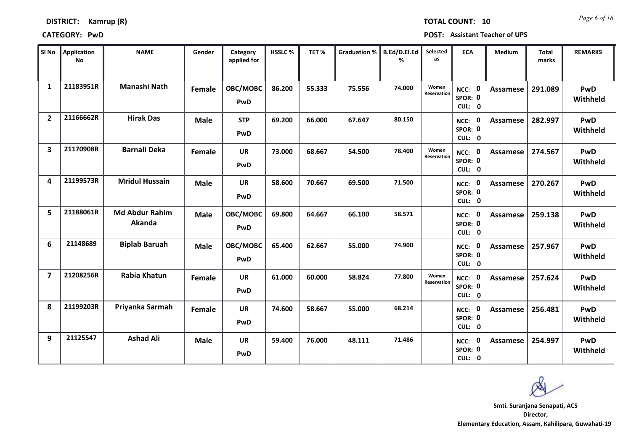| <b>DISTRICT:</b> | Kamrup (R) |  |
|------------------|------------|--|
|------------------|------------|--|

**CATEGORY: PwD POST: Assistant Teacher of UPS**

| SI No          | <b>Application</b><br>No | <b>NAME</b>                     | Gender        | Category<br>applied for | <b>HSSLC%</b> | TET%   | <b>Graduation %</b> | B.Ed/D.El.Ed<br>% | Selected<br>as       | <b>ECA</b>                         | Medium          | <b>Total</b><br>marks | <b>REMARKS</b>         |
|----------------|--------------------------|---------------------------------|---------------|-------------------------|---------------|--------|---------------------|-------------------|----------------------|------------------------------------|-----------------|-----------------------|------------------------|
| $\mathbf{1}$   | 21183951R                | Manashi Nath                    | <b>Female</b> | OBC/MOBC<br>PwD         | 86.200        | 55.333 | 75.556              | 74.000            | Women<br>Reservation | 0<br>NCC:<br>SPOR: 0<br>CUL: 0     | Assamese        | 291.089               | PwD<br>Withheld        |
| 2              | 21166662R                | <b>Hirak Das</b>                | <b>Male</b>   | <b>STP</b><br>PwD       | 69.200        | 66.000 | 67.647              | 80.150            |                      | NCC: 0<br>SPOR: 0<br>CUL: 0        | Assamese        | 282.997               | PwD<br>Withheld        |
| 3              | 21170908R                | <b>Barnali Deka</b>             | Female        | <b>UR</b><br>PwD        | 73.000        | 68.667 | 54.500              | 78.400            | Women<br>Reservation | NCC: 0<br>SPOR: 0<br>CUL: 0        | Assamese        | 274.567               | PwD<br>Withheld        |
| 4              | 21199573R                | <b>Mridul Hussain</b>           | <b>Male</b>   | <b>UR</b><br>PwD        | 58.600        | 70.667 | 69.500              | 71.500            |                      | 0<br>NCC:<br>SPOR: 0<br>CUL: 0     | Assamese        | 270.267               | PwD<br>Withheld        |
| 5              | 21188061R                | <b>Md Abdur Rahim</b><br>Akanda | <b>Male</b>   | OBC/MOBC<br>PwD         | 69.800        | 64.667 | 66.100              | 58.571            |                      | NCC: 0<br>SPOR: 0<br>CUL: 0        | <b>Assamese</b> | 259.138               | PwD<br>Withheld        |
| 6              | 21148689                 | <b>Biplab Baruah</b>            | <b>Male</b>   | OBC/MOBC<br>PwD         | 65.400        | 62.667 | 55.000              | 74.900            |                      | NCC: 0<br>SPOR: 0<br>CUL: 0        | <b>Assamese</b> | 257.967               | PwD<br>Withheld        |
| $\overline{ }$ | 21208256R                | Rabia Khatun                    | Female        | <b>UR</b><br>PwD        | 61.000        | 60.000 | 58.824              | 77.800            | Women<br>Reservation | NCC: 0<br>SPOR: 0<br>CUL: 0        | <b>Assamese</b> | 257.624               | PwD<br>Withheld        |
| 8              | 21199203R                | Priyanka Sarmah                 | Female        | <b>UR</b><br>PwD        | 74.600        | 58.667 | 55.000              | 68.214            |                      | NCC: 0<br>SPOR: 0<br>CUL: 0        | <b>Assamese</b> | 256.481               | PwD<br>Withheld        |
| 9              | 21125547                 | <b>Ashad Ali</b>                | <b>Male</b>   | <b>UR</b><br>PwD        | 59.400        | 76.000 | 48.111              | 71.486            |                      | <b>NCC: 0</b><br>SPOR: 0<br>CUL: 0 | <b>Assamese</b> | 254.997               | <b>PwD</b><br>Withheld |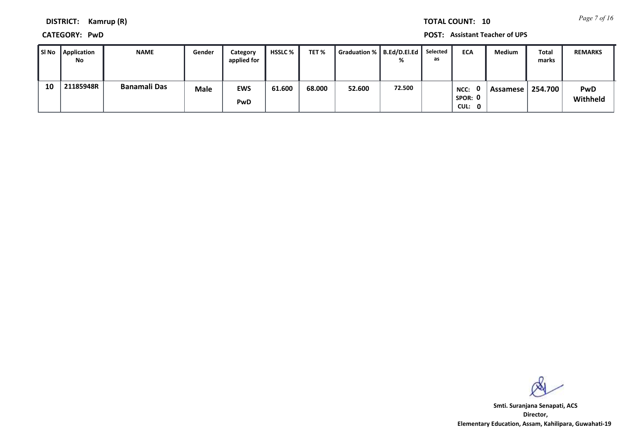*Page 7 of 16* **TOTAL COUNT: 10**

**DISTRICT: Kamrup (R)**

**CATEGORY: PwD POST: Assistant Teacher of UPS**

| l SI No | Application<br>No | <b>NAME</b>         | Gender      | Category<br>applied for | <b>HSSLC</b> % | TET%   | Graduation %   B.Ed/D.El.Ed   Selected |        | as | <b>ECA</b>                | <b>Medium</b> | <b>Total</b><br>marks | <b>REMARKS</b>         |
|---------|-------------------|---------------------|-------------|-------------------------|----------------|--------|----------------------------------------|--------|----|---------------------------|---------------|-----------------------|------------------------|
| 10      | 21185948R         | <b>Banamali Das</b> | <b>Male</b> | <b>EWS</b><br>PwD       | 61.600         | 68.000 | 52.600                                 | 72.500 |    | NCC:<br>SPOR: 0<br>CUL: 0 | Assamese      | 254.700               | <b>PwD</b><br>Withheld |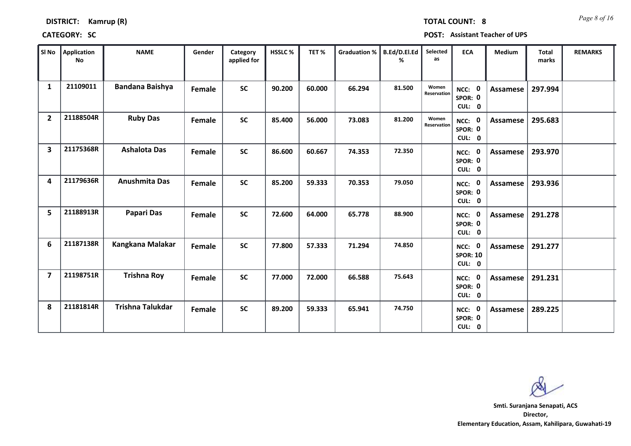*Page 8 of 16* **TOTAL COUNT: 8**

**CATEGORY: SC POST: Assistant Teacher of UPS**

| SI No          | Application<br>No | <b>NAME</b>             | Gender | Category<br>applied for | HSSLC% | TET%   | Graduation % | B.Ed/D.El.Ed<br>% | Selected<br>as       | <b>ECA</b>                          | Medium   | <b>Total</b><br>marks | <b>REMARKS</b> |
|----------------|-------------------|-------------------------|--------|-------------------------|--------|--------|--------------|-------------------|----------------------|-------------------------------------|----------|-----------------------|----------------|
| $\mathbf{1}$   | 21109011          | <b>Bandana Baishya</b>  | Female | <b>SC</b>               | 90.200 | 60.000 | 66.294       | 81.500            | Women<br>Reservation | NCC: 0<br>SPOR: 0<br>CUL: 0         | Assamese | 297.994               |                |
| $\overline{2}$ | 21188504R         | <b>Ruby Das</b>         | Female | <b>SC</b>               | 85.400 | 56.000 | 73.083       | 81.200            | Women<br>Reservation | NCC: 0<br>SPOR: 0<br>CUL: 0         | Assamese | 295.683               |                |
| 3              | 21175368R         | <b>Ashalota Das</b>     | Female | <b>SC</b>               | 86.600 | 60.667 | 74.353       | 72.350            |                      | NCC: 0<br>SPOR: 0<br>CUL: 0         | Assamese | 293.970               |                |
| 4              | 21179636R         | Anushmita Das           | Female | <b>SC</b>               | 85.200 | 59.333 | 70.353       | 79.050            |                      | NCC: 0<br>SPOR: 0<br>CUL: 0         | Assamese | 293.936               |                |
| 5              | 21188913R         | <b>Papari Das</b>       | Female | <b>SC</b>               | 72.600 | 64.000 | 65.778       | 88.900            |                      | NCC: 0<br>SPOR: 0<br>CUL: 0         | Assamese | 291.278               |                |
| 6              | 21187138R         | Kangkana Malakar        | Female | <b>SC</b>               | 77.800 | 57.333 | 71.294       | 74.850            |                      | NCC: 0<br><b>SPOR: 10</b><br>CUL: 0 | Assamese | 291.277               |                |
| $\overline{7}$ | 21198751R         | <b>Trishna Roy</b>      | Female | <b>SC</b>               | 77.000 | 72.000 | 66.588       | 75.643            |                      | NCC: 0<br>SPOR: 0<br>CUL: 0         | Assamese | 291.231               |                |
| 8              | 21181814R         | <b>Trishna Talukdar</b> | Female | <b>SC</b>               | 89.200 | 59.333 | 65.941       | 74.750            |                      | NCC: 0<br>SPOR: 0<br>CUL: 0         | Assamese | 289.225               |                |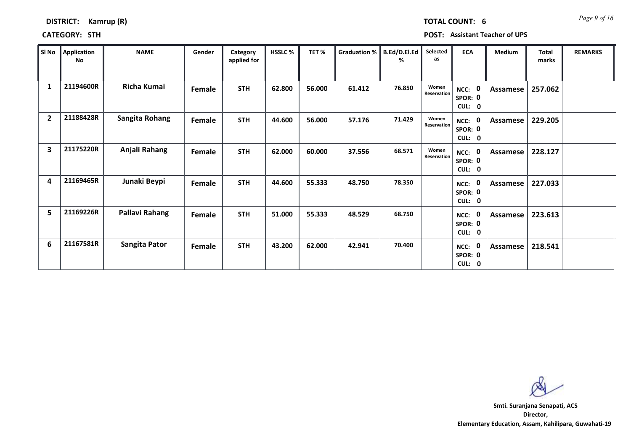| <b>DISTRICT:</b> | Kamrup (R) |  |
|------------------|------------|--|
|------------------|------------|--|

### **CATEGORY:** STH

*Page 9 of 16* **TOTAL COUNT: 6**

| <b>Assistant Teacher of UPS</b><br>POST: |  |  |  |  |
|------------------------------------------|--|--|--|--|
|------------------------------------------|--|--|--|--|

| SI No          | Application<br>No | <b>NAME</b>           | Gender | Category<br>applied for | <b>HSSLC %</b> | TET%   | <b>Graduation %</b> | B.Ed/D.El.Ed<br>℅ | Selected<br>as       | <b>ECA</b>                                         | <b>Medium</b> | <b>Total</b><br>marks | <b>REMARKS</b> |
|----------------|-------------------|-----------------------|--------|-------------------------|----------------|--------|---------------------|-------------------|----------------------|----------------------------------------------------|---------------|-----------------------|----------------|
| $\mathbf{1}$   | 21194600R         | Richa Kumai           | Female | <b>STH</b>              | 62.800         | 56.000 | 61.412              | 76.850            | Women<br>Reservation | NCC: 0<br>SPOR: 0<br>CUL:<br>$\mathbf 0$           | Assamese      | 257.062               |                |
| $\overline{2}$ | 21188428R         | Sangita Rohang        | Female | <b>STH</b>              | 44.600         | 56.000 | 57.176              | 71.429            | Women<br>Reservation | 0<br>NCC:<br>SPOR: 0<br>CUL: 0                     | Assamese      | 229.205               |                |
| 3              | 21175220R         | Anjali Rahang         | Female | <b>STH</b>              | 62.000         | 60.000 | 37.556              | 68.571            | Women<br>Reservation | NCC: 0<br>SPOR: 0<br>CUL:<br>$\mathbf 0$           | Assamese      | 228.127               |                |
| 4              | 21169465R         | Junaki Beypi          | Female | <b>STH</b>              | 44.600         | 55.333 | 48.750              | 78.350            |                      | 0<br>NCC:<br>SPOR: 0<br><b>CUL:</b><br>$\mathbf 0$ | Assamese      | 227.033               |                |
| 5              | 21169226R         | <b>Pallavi Rahang</b> | Female | <b>STH</b>              | 51.000         | 55.333 | 48.529              | 68.750            |                      | 0<br>NCC:<br>SPOR: 0<br>CUL: 0                     | Assamese      | 223.613               |                |
| 6              | 21167581R         | Sangita Pator         | Female | <b>STH</b>              | 43.200         | 62.000 | 42.941              | 70.400            |                      | $\mathbf 0$<br>NCC:<br>SPOR: 0<br>CUL: 0           | Assamese      | 218.541               |                |

ØN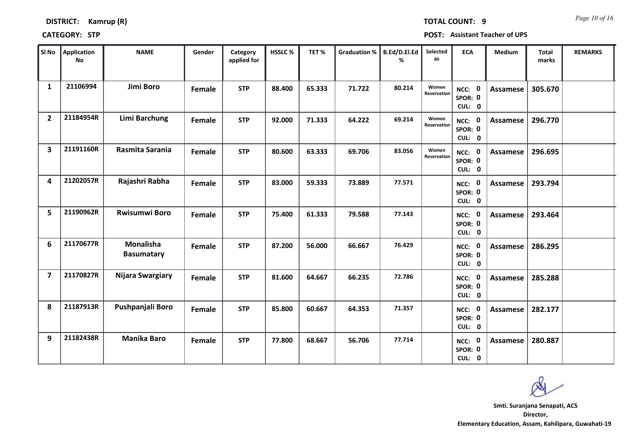| Kamrup (R) |
|------------|
|            |

*Page 10 of 16* **TOTAL COUNT: 9**

**CATEGORY: STP POST: Assistant Teacher of UPS**

| SI No          | Application<br><b>No</b> | <b>NAME</b>                    | Gender        | Category<br>applied for | HSSLC% | TET%   | <b>Graduation %</b> | B.Ed/D.El.Ed<br>% | Selected<br>as       | <b>ECA</b>                         | <b>Medium</b>   | <b>Total</b><br>marks | <b>REMARKS</b> |
|----------------|--------------------------|--------------------------------|---------------|-------------------------|--------|--------|---------------------|-------------------|----------------------|------------------------------------|-----------------|-----------------------|----------------|
| $\mathbf{1}$   | 21106994                 | Jimi Boro                      | Female        | <b>STP</b>              | 88.400 | 65.333 | 71.722              | 80.214            | Women<br>Reservation | NCC: 0<br>SPOR: 0<br>CUL: 0        | <b>Assamese</b> | 305.670               |                |
| $\overline{2}$ | 21184954R                | Limi Barchung                  | Female        | <b>STP</b>              | 92.000 | 71.333 | 64.222              | 69.214            | Women<br>Reservation | NCC: 0<br>SPOR: 0<br>CUL: 0        | Assamese        | 296.770               |                |
| 3              | 21191160R                | Rasmita Sarania                | <b>Female</b> | <b>STP</b>              | 80.600 | 63.333 | 69.706              | 83.056            | Women<br>Reservation | NCC: 0<br>SPOR: 0<br>CUL: 0        | Assamese        | 296.695               |                |
| 4              | 21202057R                | Rajashri Rabha                 | Female        | <b>STP</b>              | 83.000 | 59.333 | 73.889              | 77.571            |                      | NCC: 0<br>SPOR: 0<br>CUL: 0        | Assamese        | 293.794               |                |
| 5              | 21190962R                | <b>Rwisumwi Boro</b>           | Female        | <b>STP</b>              | 75.400 | 61.333 | 79.588              | 77.143            |                      | NCC: 0<br>SPOR: 0<br>CUL: 0        | <b>Assamese</b> | 293.464               |                |
| 6              | 21170677R                | Monalisha<br><b>Basumatary</b> | Female        | <b>STP</b>              | 87.200 | 56.000 | 66.667              | 76.429            |                      | NCC: 0<br>SPOR: 0<br>CUL: 0        | Assamese        | 286.295               |                |
| $\overline{ }$ | 21170827R                | Nijara Swargiary               | Female        | <b>STP</b>              | 81.600 | 64.667 | 66.235              | 72.786            |                      | NCC: 0<br>SPOR: 0<br>CUL: 0        | <b>Assamese</b> | 285.288               |                |
| 8              | 21187913R                | Pushpanjali Boro               | Female        | <b>STP</b>              | 85.800 | 60.667 | 64.353              | 71.357            |                      | <b>NCC: 0</b><br>SPOR: 0<br>CUL: 0 | Assamese        | 282.177               |                |
| 9              | 21182438R                | <b>Manika Baro</b>             | Female        | <b>STP</b>              | 77.800 | 68.667 | 56.706              | 77.714            |                      | NCC: 0<br>SPOR: 0<br>CUL: 0        | Assamese        | 280.887               |                |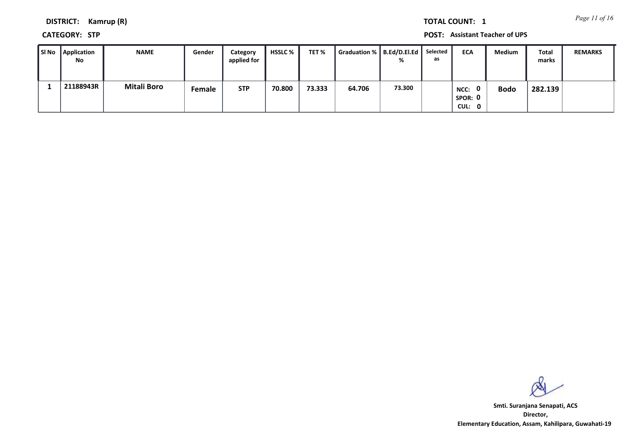*Page 11 of 16* **TOTAL COUNT: 1**

**DISTRICT: Kamrup (R)**

**CATEGORY: STP POST: Assistant Teacher of UPS**

| SI No Application<br>No | <b>NAME</b>        | Gender        | Category<br>applied for | <b>HSSLC</b> % | TET %  | Graduation %   B.Ed/D.El.Ed | %      | Selected<br>as | <b>ECA</b>                                | Medium      | Total<br>marks | <b>REMARKS</b> |
|-------------------------|--------------------|---------------|-------------------------|----------------|--------|-----------------------------|--------|----------------|-------------------------------------------|-------------|----------------|----------------|
| 21188943R               | <b>Mitali Boro</b> | <b>Female</b> | <b>STP</b>              | 70.800         | 73.333 | 64.706                      | 73.300 |                | $\mathbf{0}$<br>NCC:<br>SPOR: 0<br>CUL: 0 | <b>Bodo</b> | 282.139        |                |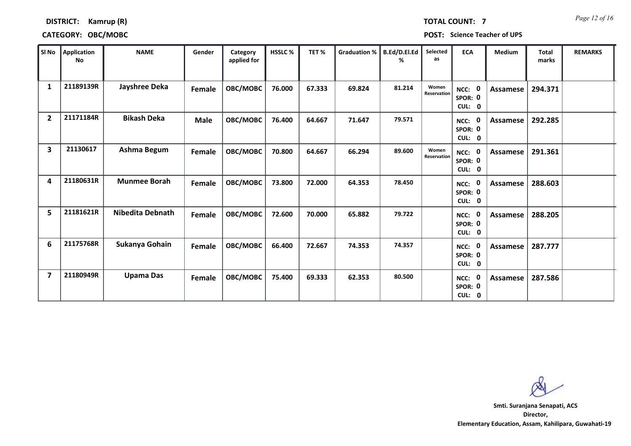*Page 12 of 16* **TOTAL COUNT: 7**

### **DISTRICT: Kamrup (R)**

### **CATEGORY: OBC/MOBC POST: Science Teacher of UPS**

| l SI No        | <b>Application</b><br><b>No</b> | <b>NAME</b>         | Gender        | Category<br>applied for | HSSLC% | TET%   | <b>Graduation %</b> | B.Ed/D.El.Ed<br>℅ | Selected<br>as       | <b>ECA</b>                               | Medium   | <b>Total</b><br>marks | <b>REMARKS</b> |
|----------------|---------------------------------|---------------------|---------------|-------------------------|--------|--------|---------------------|-------------------|----------------------|------------------------------------------|----------|-----------------------|----------------|
| $\mathbf{1}$   | 21189139R                       | Jayshree Deka       | Female        | <b>OBC/MOBC</b>         | 76.000 | 67.333 | 69.824              | 81.214            | Women<br>Reservation | $\mathbf 0$<br>NCC:<br>SPOR: 0<br>CUL: 0 | Assamese | 294.371               |                |
| $\overline{2}$ | 21171184R                       | <b>Bikash Deka</b>  | <b>Male</b>   | OBC/MOBC                | 76.400 | 64.667 | 71.647              | 79.571            |                      | $\mathbf 0$<br>NCC:<br>SPOR: 0<br>CUL: 0 | Assamese | 292.285               |                |
| 3              | 21130617                        | Ashma Begum         | Female        | OBC/MOBC                | 70.800 | 64.667 | 66.294              | 89.600            | Women<br>Reservation | NCC: 0<br>SPOR: 0<br>CUL: 0              | Assamese | 291.361               |                |
| 4              | 21180631R                       | <b>Munmee Borah</b> | Female        | OBC/MOBC                | 73.800 | 72.000 | 64.353              | 78.450            |                      | NCC: 0<br>SPOR: 0<br>CUL: 0              | Assamese | 288.603               |                |
| 5              | 21181621R                       | Nibedita Debnath    | Female        | OBC/MOBC                | 72.600 | 70.000 | 65.882              | 79.722            |                      | $\mathbf 0$<br>NCC:<br>SPOR: 0<br>CUL: 0 | Assamese | 288.205               |                |
| 6              | 21175768R                       | Sukanya Gohain      | Female        | <b>OBC/MOBC</b>         | 66.400 | 72.667 | 74.353              | 74.357            |                      | $\mathbf 0$<br>NCC:<br>SPOR: 0<br>CUL: 0 | Assamese | 287.777               |                |
| $\overline{7}$ | 21180949R                       | <b>Upama Das</b>    | <b>Female</b> | <b>OBC/MOBC</b>         | 75.400 | 69.333 | 62.353              | 80.500            |                      | $\mathbf 0$<br>NCC:<br>SPOR: 0<br>CUL: 0 | Assamese | 287.586               |                |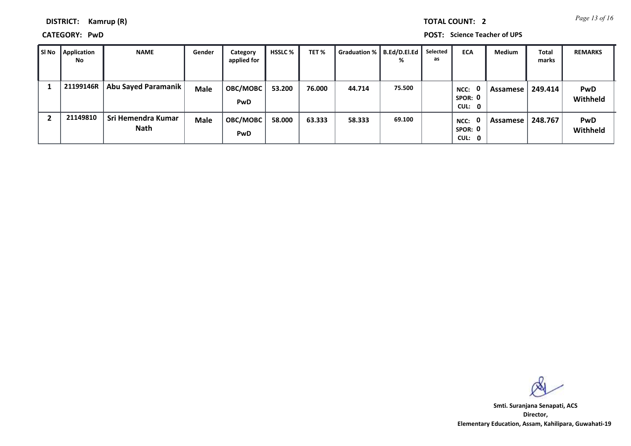*Page 13 of 16* **TOTAL COUNT: 2**

**DISTRICT: Kamrup (R)**

**CATEGORY: PwD POST: Science Teacher of UPS**

| SI No | <b>Application</b><br><b>No</b> | <b>NAME</b>                | Gender      | Category<br>applied for | <b>HSSLC</b> % | TET %  | Graduation %   B.Ed/D.El.Ed | ℅      | Selected<br>as | <b>ECA</b>                       | <b>Medium</b> | Total<br>marks | <b>REMARKS</b>         |
|-------|---------------------------------|----------------------------|-------------|-------------------------|----------------|--------|-----------------------------|--------|----------------|----------------------------------|---------------|----------------|------------------------|
|       | 21199146R                       | Abu Sayed Paramanik        | <b>Male</b> | OBC/MOBC<br>PwD         | 53.200         | 76.000 | 44.714                      | 75.500 |                | - 0<br>NCC:<br>SPOR: 0<br>CUL: 0 | Assamese      | 249.414        | <b>PwD</b><br>Withheld |
|       | 21149810                        | Sri Hemendra Kumar<br>Nath | <b>Male</b> | OBC/MOBC<br>PwD         | 58.000         | 63.333 | 58.333                      | 69.100 |                | 0<br>NCC:<br>SPOR: 0<br>CUL: 0   | Assamese      | 248.767        | <b>PwD</b><br>Withheld |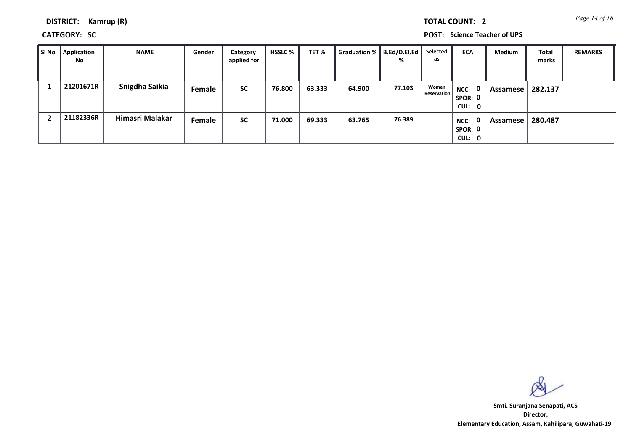*Page 14 of 16* **TOTAL COUNT: 2**

**DISTRICT: Kamrup (R)**

**CATEGORY: SC POST: Science Teacher of UPS**

| ∥ SI No | <b>Application</b><br><b>No</b> | <b>NAME</b>     | Gender        | Category<br>applied for | <b>HSSLC</b> % | TET%   | Graduation %   B.Ed/D.El.Ed | %      | Selected<br>as              | <b>ECA</b>                                | Medium     | <b>Total</b><br>marks | <b>REMARKS</b> |
|---------|---------------------------------|-----------------|---------------|-------------------------|----------------|--------|-----------------------------|--------|-----------------------------|-------------------------------------------|------------|-----------------------|----------------|
|         | 21201671R                       | Snigdha Saikia  | <b>Female</b> | <b>SC</b>               | 76.800         | 63.333 | 64.900                      | 77.103 | Women<br><b>Reservation</b> | $NCC:$ 0<br>SPOR: 0<br>CUL: 0             | Assamese ' | 282.137               |                |
|         | 21182336R                       | Himasri Malakar | Female        | <b>SC</b>               | 71.000         | 69.333 | 63.765                      | 76.389 |                             | $\mathbf{0}$<br>NCC:<br>SPOR: 0<br>CUL: 0 | Assamese   | 280.487               |                |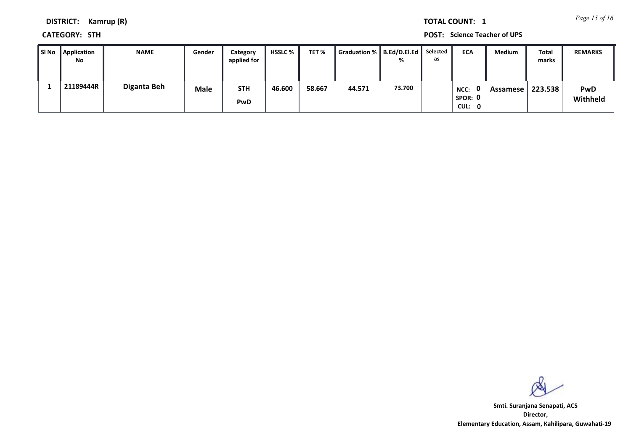*Page 15 of 16* **TOTAL COUNT: 1**

**DISTRICT: Kamrup (R)**

**CATEGORY: STH POST: Science Teacher of UPS**

| SI No | Application<br>No | <b>NAME</b> | Gender | Category<br>applied for | <b>HSSLC</b> % | TET %  | Graduation %   B.Ed/D.El.Ed | $\alpha$ | Selected<br>as | <b>ECA</b>                | <b>Medium</b> | Total<br>marks | <b>REMARKS</b>         |
|-------|-------------------|-------------|--------|-------------------------|----------------|--------|-----------------------------|----------|----------------|---------------------------|---------------|----------------|------------------------|
|       | 21189444R         | Diganta Beh | Male   | <b>STH</b><br>PwD       | 46.600         | 58.667 | 44.571                      | 73.700   |                | NCC:<br>SPOR: 0<br>CUL: 0 | Assamese      | 223.538        | <b>PwD</b><br>Withheld |